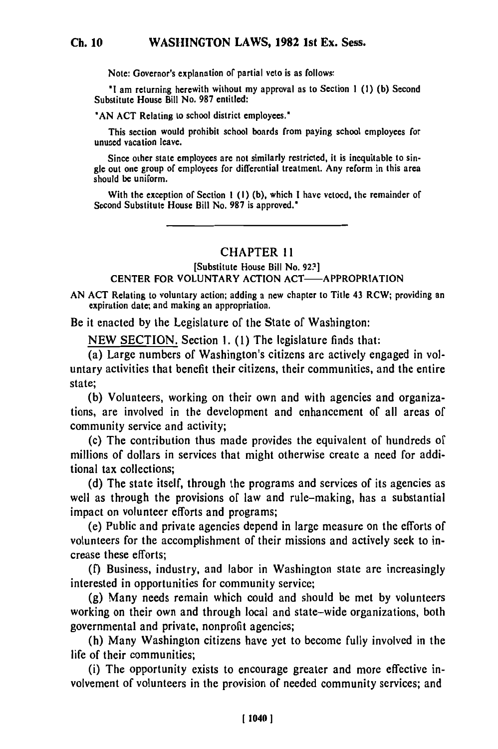Note: Governor's explanation of partial veto is as follows:

"I am returning herewith without my approval as to Section **1 (1) (b)** Second Substitute House Bill No. **987** entitled:

**"AN ACT** Relating to school district employees.'

**Ch. 10**

This section would prohibit school boards from paying school employees for unused vacation leave.

Since other state employees **are** not similarly restricted, it is inequitable to sin**gle** out one group of employees for differential treatment. Any reform in this area should be uniform.

With the exception of Section **1 (I) (b),** which **I** have vetoed, the remainder of Second Substitute House Bill No. **987** is approved."

## **CHAPTER I 1**

[Substitute House Bill No. **92?]**

## **CENTER FOR VOLUNTARY ACTION ACT- APPROPRIATION**

**AN ACT** Relating to voluntary action; adding a new chapter to Title 43 RCW; providing an  $\mu$ ,  $\mu$  is a approximate and making a matrix  $\mu$  and  $\mu$  and  $\mu$ .

Be it enacted **by** the Legislature of the State of Washington:

**NEW SECTION.** Section **1. (1)** The legislature finds that:

(a) Large numbers of Washington's citizens are actively engaged in voluntary activities that benefit their citizens, their communities, and the entire state;

(b) Volunteers, working on their own and with agencies and organizations, are involved in the development and enhancement of all areas of community service and activity;

(c) The contribution thus made provides the equivalent of hundreds of millions of dollars in services that might otherwise create a need for additional tax collections;

(d) The state itself, through the programs and services of its agencies as well as through the provisions of law and rule-making, has a substantial impact on volunteer efforts and programs;

(e) Public and private agencies depend in large measure on the efforts of volunteers for the accomplishment of their missions and actively seek to increase these efforts;

(f) Business, industry, and labor in Washington state are increasingly interested in opportunities for community service;

(g) Many needs remain which could and should be met by volunteers working on their own and through local and state-wide organizations, both governmental and private, nonprofit agencies;

(h) Many Washington citizens have yet to become fully involved in the life of their communities;

(i) The opportunity exists to encourage greater and more effective involvement of volunteers in the provision of needed community services; and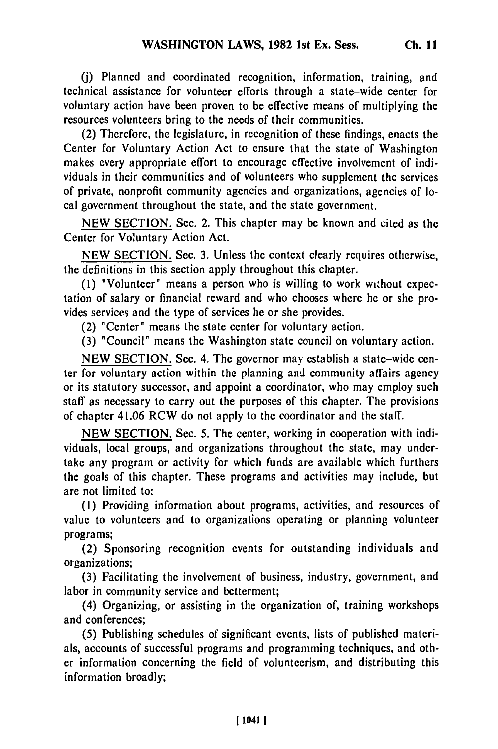*(0)* Planned and coordinated recognition, information, training, and technical assistance for volunteer efforts through a state-wide center for voluntary action have been proven to be effective means of multiplying the resources volunteers bring to the needs of their communities.

(2) Therefore, the legislature, in recognition of these findings, enacts the Center for Voluntary Action Act to ensure that the state of Washington makes every appropriate effort to encourage effective involvement of individuals in their communities and of volunteers who supplement the services of private, nonprofit community agencies and organizations, agencies of local government throughout the state, and the state government.

NEW SECTION. Sec. 2. This chapter may be known and cited as the Center for Voluntary Action Act.

NEW SECTION. Sec. 3. Unless the context clearly requires otherwise, the definitions in this section apply throughout this chapter.

(1) "Volunteer" means a person who is willing to work without expectation of salary or financial reward and who chooses where he or she provides services and the type of services he or she provides.

(2) "Center" means the state center for voluntary action.

(3) "Council" means the Washington state council on voluntary action.

NEW SECTION. Sec. 4. The governor may establish a state-wide center for voluntary action within the planning and community affairs agency or its statutory successor, and appoint a coordinator, who may employ such staff as necessary to carry out the purposes of this chapter. The provisions of chapter 41.06 RCW do not apply to the coordinator and the staff.

NEW SECTION. Sec. 5. The center, working in cooperation with individuals, local groups, and organizations throughout the state, may undertake any program or activity for which funds are available which furthers the goals of this chapter. These programs and activities may include, but are not limited to:

(I) Providing information about programs, activities, and resources of value to volunteers and to organizations operating or planning volunteer programs;

(2) Sponsoring recognition events for outstanding individuals and organizations;

(3) Facilitating the involvement of business, industry, government, and labor in community service and betterment;

(4) Organizing, or assisting in the organization of, training workshops and conferences;

(5) Publishing schedules of significant events, lists of published materials, accounts of successful programs and programming techniques, and other information concerning the field of volunteerism, and distributing this information broadly;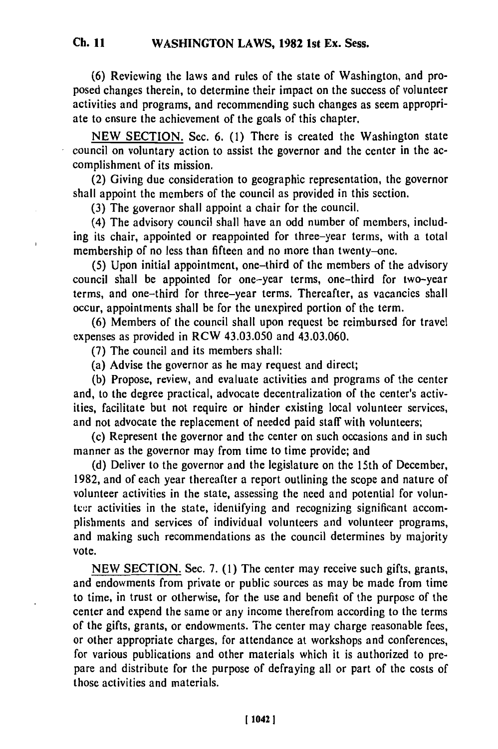**(6)** Reviewing the laws and rules of the state of Washington, and proposed changes therein, to determine their impact on the success of volunteer activities and programs, and recommending such changes as seem appropriate to ensure the achievement of the goals of this chapter.

NEW SECTION. Sec. 6. (1) There is created the Washington state council on voluntary action to assist the governor and the center in the accomplishment of its mission.

(2) Giving due consideration to geographic representation, the governor shall appoint the members of the council as provided in this section.

(3) The governor shall appoint a chair for the council.

(4) The advisory council shall have an odd number of members, including its chair, appointed or reappointed for three-year terms, with a total membership of no less than fifteen and no more than twenty-one.

(5) Upon initial appointment, one-third of the members of the advisory council shall be appointed for one-year terms, one-third for two-year terms, and one-third for three-year terms. Thereafter, as vacancies shall occur, appointments shall be for the unexpired portion of the term.

(6) Members of the council shall upon request be reimbursed for travel expenses as provided in RCW 43.03.050 and 43.03.060.

**(7)** The council and its members shall:

(a) Advise the governor as he may request and direct;

(b) Propose, review, and evaluate activities and programs of the center and, to the degree practical, advocate decentralization of the center's activities, facilitate but not require or hinder existing local volunteer services, and not advocate the replacement of needed paid staff with volunteers;

(c) Represent the governor and the center on such occasions and in such manner as the governor may from time to time provide; and

(d) Deliver to the governor and the legislature on the 15th of December, 1982, and of each year thereafter a report outlining the scope and nature of volunteer activities in the state, assessing the need and potential for volunteer activities in the state, identifying and recognizing significant accomplishments and services of individual volunteers and volunteer programs, and making such recommendations as the council determines by majority vote.

NEW SECTION. Sec. 7. (1) The center may receive such gifts, grants, and endowments from private or public sources as may be made from time to time, in trust or otherwise, for the use and benefit of the purpose of the center and expend the same or any income therefrom according to the terms of the gifts, grants, or endowments. The center may charge reasonable fees, or other appropriate charges, for attendance at workshops and conferences, for various publications and other materials which it is authorized to prepare and distribute for the purpose of defraying all or part of the costs of those activities and materials.